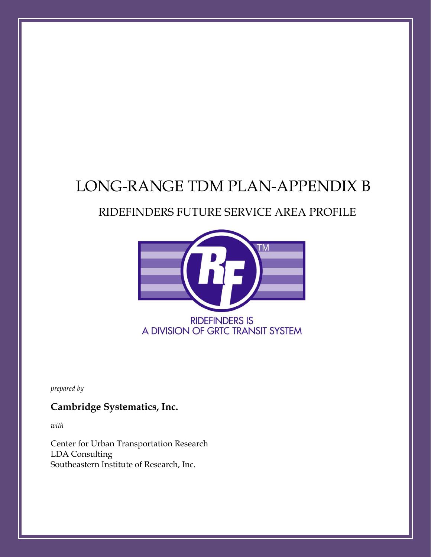## LONG-RANGE TDM PLAN-APPENDIX B

## RIDEFINDERS FUTURE SERVICE AREA PROFILE



*prepared by*

#### **Cambridge Systematics, Inc.**

*with*

Center for Urban Transportation Research LDA Consulting Southeastern Institute of Research, Inc.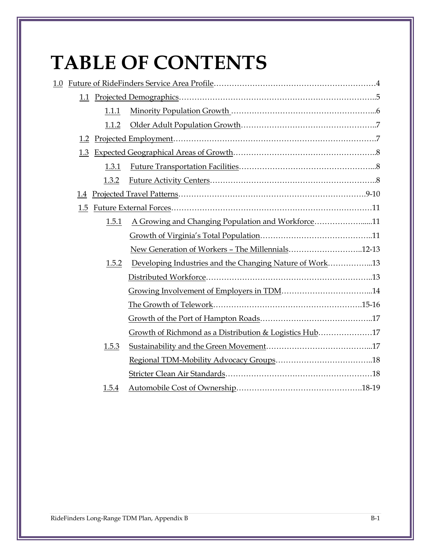# **TABLE OF CONTENTS**

| 1.1   |                                                         |  |
|-------|---------------------------------------------------------|--|
| 1.1.1 |                                                         |  |
| 1.1.2 |                                                         |  |
| 1.2   |                                                         |  |
| 1.3   |                                                         |  |
| 1.3.1 |                                                         |  |
| 1.3.2 |                                                         |  |
| 1.4   |                                                         |  |
| 1.5   |                                                         |  |
| 1.5.1 | A Growing and Changing Population and Workforce11       |  |
|       |                                                         |  |
|       | New Generation of Workers - The Millennials12-13        |  |
| 1.5.2 | Developing Industries and the Changing Nature of Work13 |  |
|       |                                                         |  |
|       |                                                         |  |
|       |                                                         |  |
|       |                                                         |  |
|       | Growth of Richmond as a Distribution & Logistics Hub17  |  |
| 1.5.3 |                                                         |  |
|       |                                                         |  |
|       |                                                         |  |
| 1.5.4 |                                                         |  |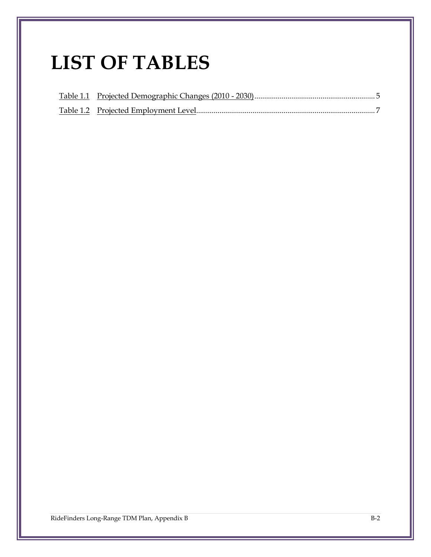# **LIST OF TABLES**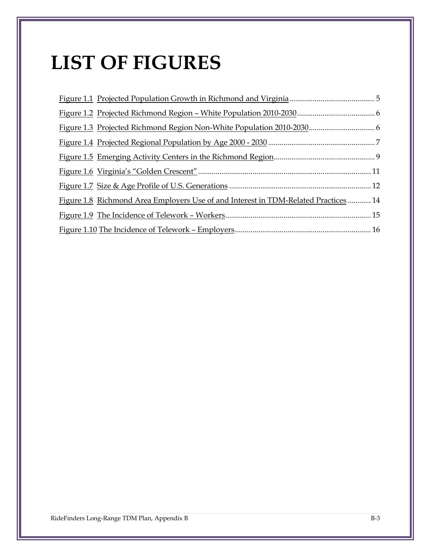# **LIST OF FIGURES**

| Figure 1.8 Richmond Area Employers Use of and Interest in TDM-Related Practices  14 |  |
|-------------------------------------------------------------------------------------|--|
|                                                                                     |  |
|                                                                                     |  |
|                                                                                     |  |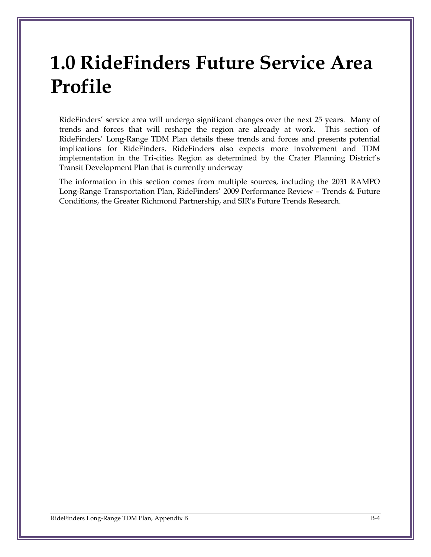# **1.0 RideFinders Future Service Area Profile**

RideFinders' service area will undergo significant changes over the next 25 years. Many of trends and forces that will reshape the region are already at work. This section of RideFinders' Long-Range TDM Plan details these trends and forces and presents potential implications for RideFinders. RideFinders also expects more involvement and TDM implementation in the Tri-cities Region as determined by the Crater Planning District's Transit Development Plan that is currently underway

The information in this section comes from multiple sources, including the 2031 RAMPO Long-Range Transportation Plan, RideFinders' 2009 Performance Review – Trends & Future Conditions, the Greater Richmond Partnership, and SIR's Future Trends Research.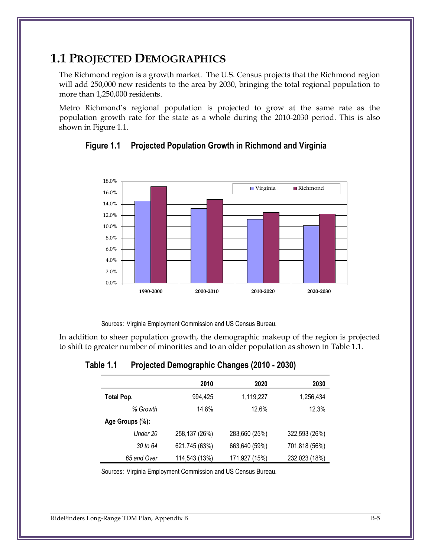### **1.1 PROJECTED DEMOGRAPHICS**

The Richmond region is a growth market. The U.S. Census projects that the Richmond region will add 250,000 new residents to the area by 2030, bringing the total regional population to more than 1,250,000 residents.

<span id="page-5-1"></span>Metro Richmond's regional population is projected to grow at the same rate as the population growth rate for the state as a whole during the 2010-2030 period. This is also shown in Figure 1.1.



**Figure 1.1 Projected Population Growth in Richmond and Virginia**

Sources: Virginia Employment Commission and US Census Bureau.

<span id="page-5-0"></span>In addition to sheer population growth, the demographic makeup of the region is projected to shift to greater number of minorities and to an older population as shown in [Table 1.1.](#page-5-0)

**Table 1.1 Projected Demographic Changes (2010 - 2030)**

|                 | 2010          | 2020          | 2030          |
|-----------------|---------------|---------------|---------------|
| Total Pop.      | 994,425       | 1,119,227     | 1,256,434     |
| % Growth        | 14.8%         | 12.6%         | 12.3%         |
| Age Groups (%): |               |               |               |
| Under 20        | 258,137 (26%) | 283,660 (25%) | 322,593 (26%) |
| 30 to 64        | 621,745 (63%) | 663,640 (59%) | 701,818 (56%) |
| 65 and Over     | 114,543 (13%) | 171,927 (15%) | 232,023 (18%) |

Sources: Virginia Employment Commission and US Census Bureau.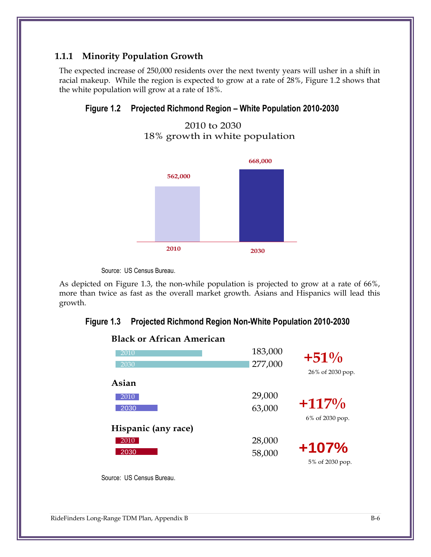#### **1.1.1 Minority Population Growth**

<span id="page-6-0"></span>The expected increase of 250,000 residents over the next twenty years will usher in a shift in racial makeup. While the region is expected to grow at a rate of 28%, Figure 1.2 shows that the white population will grow at a rate of 18%.

## **Figure 1.2 Projected Richmond Region**  White Population **– White Population 2010-2030**





Source: US Census Bureau.

<span id="page-6-1"></span>As depicted on [Figure 1.3,](#page-6-1) the non-while population is projected to grow at a rate of 66%, more than twice as fast as the overall market growth. Asians and Hispanics will lead this growth.

# **Figure 1.3 Projected Richmond Region Non-White Population 2010-2030** Non-White Population

| 2010                | 183,000 | $+51%$           |
|---------------------|---------|------------------|
| 2030                | 277,000 |                  |
|                     |         | 26% of 2030 pop. |
| Asian               |         |                  |
| 2010                | 29,000  |                  |
| 2030                | 63,000  | $+117\%$         |
|                     |         |                  |
|                     |         | 6% of 2030 pop.  |
| Hispanic (any race) |         |                  |
| 2010                | 28,000  |                  |
| 2030                | 58,000  | $+107%$          |
|                     |         | 5% of 2030 pop.  |
|                     |         |                  |



Source: US Census Bureau.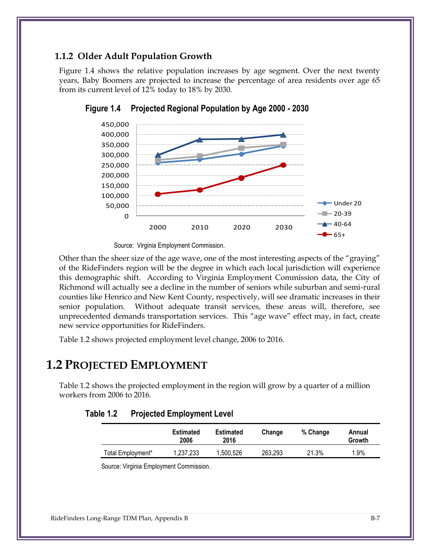#### **1.1.2 Older Adult Population Growth**

<span id="page-7-1"></span>[Figure 1.4](#page-7-1) shows the relative population increases by age segment. Over the next twenty years, Baby Boomers are projected to increase the percentage of area residents over age 65 from its current level of 12% today to 18% by 2030.



**Figure 1.4 Projected Regional Population by Age 2000 - 2030 Regional\* Population Projections by Age: 2000-2030**

0 of the RideFinders region will be the degree in which each local jurisdiction will experience Other than the sheer size of the age wave, one of the most interesting aspects of the "graying" this demographic shift. According to Virginia Employment Commission data, the City of Richmond will actually see a decline in the number of seniors while suburban and semi-rural counties like Henrico and New Kent County, respectively, will see dramatic increases in their senior population. Without adequate transit services, these areas will, therefore, see unprecedented demands transportation services. This "age wave" effect may, in fact, create new service opportunities for RideFinders.

Table 1.2 shows projected employment level change, 2006 to 2016.

### **1.2 PROJECTED EMPLOYMENT**

Table 1.2 shows the projected employment in the region will grow by a quarter of a million workers from 2006 to 2016.

<span id="page-7-0"></span>

|                   | <b>Estimated</b><br>2006 | <b>Estimated</b><br>2016 | Change  | % Change | Annual<br>Growth |
|-------------------|--------------------------|--------------------------|---------|----------|------------------|
| Total Employment* | 1,237,233                | 1,500,526                | 263,293 | 21.3%    | $1.9\%$          |

**Table 1.2 Projected Employment Level**

Source: Virginia Employment Commission.

Source: Virginia Employment Commission.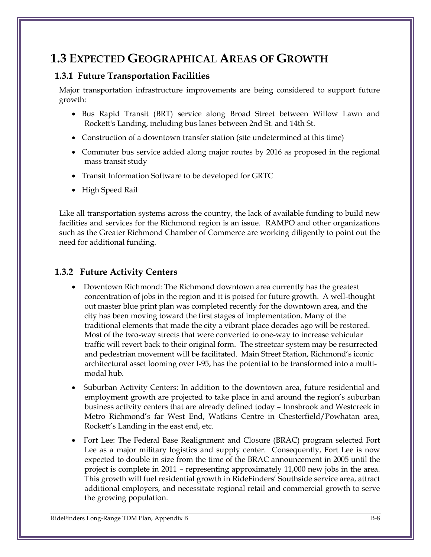## **1.3 EXPECTED GEOGRAPHICAL AREAS OF GROWTH**

#### **1.3.1 Future Transportation Facilities**

Major transportation infrastructure improvements are being considered to support future growth:

- Bus Rapid Transit (BRT) service along Broad Street between Willow Lawn and Rockett's Landing, including bus lanes between 2nd St. and 14th St.
- Construction of a downtown transfer station (site undetermined at this time)
- Commuter bus service added along major routes by 2016 as proposed in the regional mass transit study
- Transit Information Software to be developed for GRTC
- High Speed Rail

Like all transportation systems across the country, the lack of available funding to build new facilities and services for the Richmond region is an issue. RAMPO and other organizations such as the Greater Richmond Chamber of Commerce are working diligently to point out the need for additional funding.

#### **1.3.2 Future Activity Centers**

- Downtown Richmond: The Richmond downtown area currently has the greatest concentration of jobs in the region and it is poised for future growth. A well-thought out master blue print plan was completed recently for the downtown area, and the city has been moving toward the first stages of implementation. Many of the traditional elements that made the city a vibrant place decades ago will be restored. Most of the two-way streets that were converted to one-way to increase vehicular traffic will revert back to their original form. The streetcar system may be resurrected and pedestrian movement will be facilitated. Main Street Station, Richmond's iconic architectural asset looming over I-95, has the potential to be transformed into a multimodal hub.
- Suburban Activity Centers: In addition to the downtown area, future residential and employment growth are projected to take place in and around the region's suburban business activity centers that are already defined today – Innsbrook and Westcreek in Metro Richmond's far West End, Watkins Centre in Chesterfield/Powhatan area, Rockett's Landing in the east end, etc.
- Fort Lee: The Federal Base Realignment and Closure (BRAC) program selected Fort Lee as a major military logistics and supply center. Consequently, Fort Lee is now expected to double in size from the time of the BRAC announcement in 2005 until the project is complete in 2011 – representing approximately 11,000 new jobs in the area. This growth will fuel residential growth in RideFinders' Southside service area, attract additional employers, and necessitate regional retail and commercial growth to serve the growing population.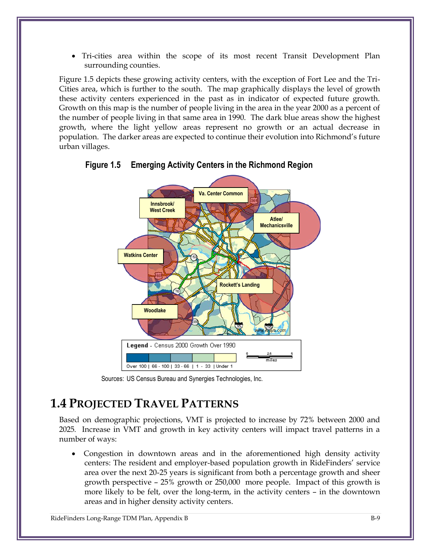Tri-cities area within the scope of its most recent Transit Development Plan surrounding counties.

Figure 1.5 depicts these growing activity centers, with the exception of Fort Lee and the Tri-Cities area, which is further to the south. The map graphically displays the level of growth these activity centers experienced in the past as in indicator of expected future growth. Growth on this map is the number of people living in the area in the year 2000 as a percent of the number of people living in that same area in 1990. The dark blue areas show the highest growth, where the light yellow areas represent no growth or an actual decrease in population. The darker areas are expected to continue their evolution into Richmond's future urban villages.



<span id="page-9-0"></span>**Figure 1.5 Emerging Activity Centers in the Richmond Region**

Sources: US Census Bureau and Synergies Technologies, Inc.

## **1.4 PROJECTED TRAVEL PATTERNS**

Based on demographic projections, VMT is projected to increase by 72% between 2000 and 2025*.* Increase in VMT and growth in key activity centers will impact travel patterns in a number of ways:

 Congestion in downtown areas and in the aforementioned high density activity centers: The resident and employer-based population growth in RideFinders' service area over the next 20-25 years is significant from both a percentage growth and sheer growth perspective – 25% growth or 250,000 more people. Impact of this growth is more likely to be felt, over the long-term, in the activity centers – in the downtown areas and in higher density activity centers.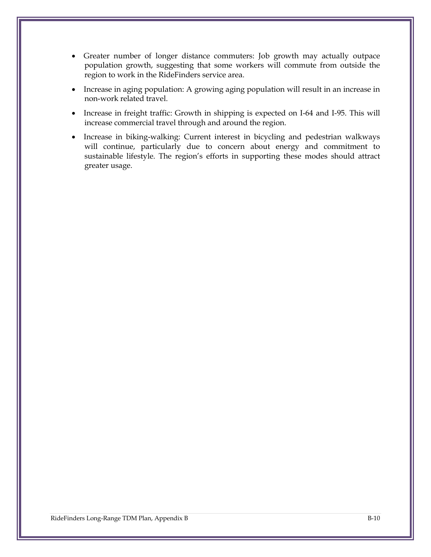- Greater number of longer distance commuters: Job growth may actually outpace population growth, suggesting that some workers will commute from outside the region to work in the RideFinders service area.
- Increase in aging population: A growing aging population will result in an increase in non-work related travel.
- Increase in freight traffic: Growth in shipping is expected on I-64 and I-95. This will increase commercial travel through and around the region.
- Increase in biking-walking: Current interest in bicycling and pedestrian walkways will continue, particularly due to concern about energy and commitment to sustainable lifestyle. The region's efforts in supporting these modes should attract greater usage.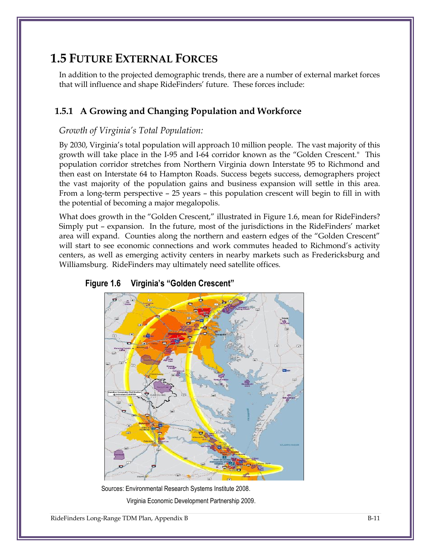## **1.5 FUTURE EXTERNAL FORCES**

In addition to the projected demographic trends, there are a number of external market forces that will influence and shape RideFinders' future. These forces include:

#### **1.5.1 A Growing and Changing Population and Workforce**

#### *Growth of Virginia's Total Population:*

By 2030, Virginia's total population will approach 10 million people. The vast majority of this growth will take place in the I-95 and I-64 corridor known as the "Golden Crescent." This population corridor stretches from Northern Virginia down Interstate 95 to Richmond and then east on Interstate 64 to Hampton Roads. Success begets success, demographers project the vast majority of the population gains and business expansion will settle in this area. From a long-term perspective – 25 years – this population crescent will begin to fill in with the potential of becoming a major megalopolis.

What does growth in the "Golden Crescent," illustrated in [Figure 1.6,](#page-11-0) mean for RideFinders? Simply put – expansion. In the future, most of the jurisdictions in the RideFinders' market area will expand. Counties along the northern and eastern edges of the "Golden Crescent" will start to see economic connections and work commutes headed to Richmond's activity centers, as well as emerging activity centers in nearby markets such as Fredericksburg and Williamsburg. RideFinders may ultimately need satellite offices.



#### <span id="page-11-0"></span>**Figure 1.6 Virginia's "Golden Crescent"**

Sources: Environmental Research Systems Institute 2008. Virginia Economic Development Partnership 2009.

RideFinders Long-Range TDM Plan, Appendix B B-11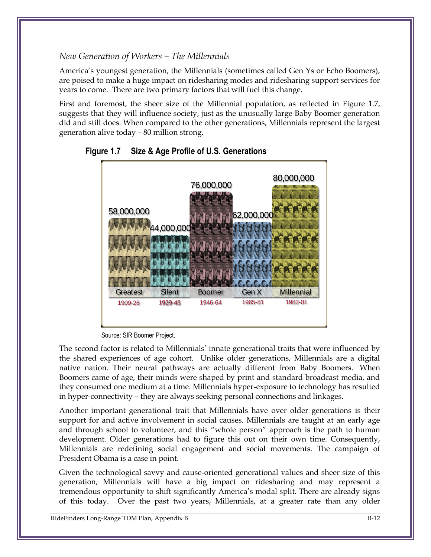#### *New Generation of Workers – The Millennials*

America's youngest generation, the Millennials (sometimes called Gen Ys or Echo Boomers), are poised to make a huge impact on ridesharing modes and ridesharing support services for years to come. There are two primary factors that will fuel this change.

First and foremost, the sheer size of the Millennial population, as reflected in [Figure 1.7,](#page-12-0) suggests that they will influence society, just as the unusually large Baby Boomer generation did and still does. When compared to the other generations, Millennials represent the largest generation alive today – 80 million strong.



<span id="page-12-0"></span>

The second factor is related to Millennials' innate generational traits that were influenced by the shared experiences of age cohort. Unlike older generations, Millennials are a digital native nation. Their neural pathways are actually different from Baby Boomers. When Boomers came of age, their minds were shaped by print and standard broadcast media, and they consumed one medium at a time. Millennials hyper-exposure to technology has resulted in hyper-connectivity – they are always seeking personal connections and linkages.

Another important generational trait that Millennials have over older generations is their support for and active involvement in social causes. Millennials are taught at an early age and through school to volunteer, and this "whole person" approach is the path to human development. Older generations had to figure this out on their own time. Consequently, Millennials are redefining social engagement and social movements. The campaign of President Obama is a case in point.

Given the technological savvy and cause-oriented generational values and sheer size of this generation, Millennials will have a big impact on ridesharing and may represent a tremendous opportunity to shift significantly America's modal split. There are already signs of this today. Over the past two years, Millennials, at a greater rate than any older

Source: SIR Boomer Project.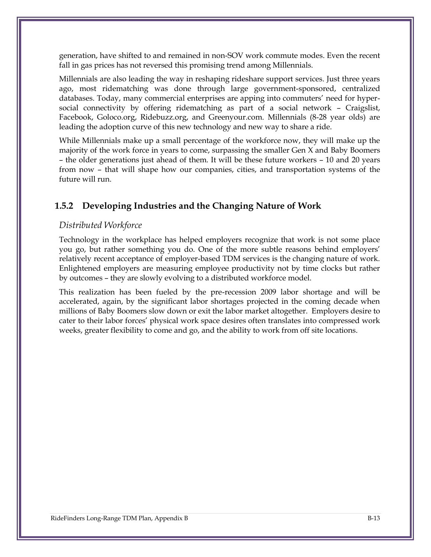generation, have shifted to and remained in non-SOV work commute modes. Even the recent fall in gas prices has not reversed this promising trend among Millennials.

Millennials are also leading the way in reshaping rideshare support services. Just three years ago, most ridematching was done through large government-sponsored, centralized databases. Today, many commercial enterprises are apping into commuters' need for hypersocial connectivity by offering ridematching as part of a social network – Craigslist, Facebook, Goloco.org, Ridebuzz.org, and Greenyour.com. Millennials (8-28 year olds) are leading the adoption curve of this new technology and new way to share a ride.

While Millennials make up a small percentage of the workforce now, they will make up the majority of the work force in years to come, surpassing the smaller Gen X and Baby Boomers – the older generations just ahead of them. It will be these future workers – 10 and 20 years from now – that will shape how our companies, cities, and transportation systems of the future will run.

#### **1.5.2 Developing Industries and the Changing Nature of Work**

#### *Distributed Workforce*

Technology in the workplace has helped employers recognize that work is not some place you go, but rather something you do. One of the more subtle reasons behind employers' relatively recent acceptance of employer-based TDM services is the changing nature of work. Enlightened employers are measuring employee productivity not by time clocks but rather by outcomes – they are slowly evolving to a distributed workforce model.

This realization has been fueled by the pre-recession 2009 labor shortage and will be accelerated, again, by the significant labor shortages projected in the coming decade when millions of Baby Boomers slow down or exit the labor market altogether. Employers desire to cater to their labor forces' physical work space desires often translates into compressed work weeks, greater flexibility to come and go, and the ability to work from off site locations.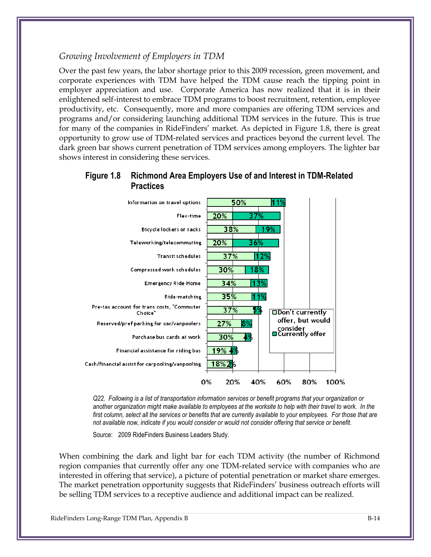#### *Growing Involvement of Employers in TDM*

Over the past few years, the labor shortage prior to this 2009 recession, green movement, and corporate experiences with TDM have helped the TDM cause reach the tipping point in employer appreciation and use. Corporate America has now realized that it is in their enlightened self-interest to embrace TDM programs to boost recruitment, retention, employee productivity, etc. Consequently, more and more companies are offering TDM services and programs and/or considering launching additional TDM services in the future. This is true for many of the companies in RideFinders' market. As depicted in [Figure 1.8,](#page-14-0) there is great opportunity to grow use of TDM-related services and practices beyond the current level. The dark green bar shows current penetration of TDM services among employers. The lighter bar shows interest in considering these services.

#### <span id="page-14-0"></span>**Figure 1.8 Richmond Area Employers Use of and Interest in TDM-Related Practices**



*Q22. Following is a list of transportation information services or benefit programs that your organization or another organization might make available to employees at the worksite to help with their travel to work. In the first column, select all the services or benefits that are currently available to your employees. For those that are not available now, indicate if you would consider or would not consider offering that service or benefit.*

Source: 2009 RideFinders Business Leaders Study.

When combining the dark and light bar for each TDM activity (the number of Richmond region companies that currently offer any one TDM-related service with companies who are interested in offering that service), a picture of potential penetration or market share emerges. The market penetration opportunity suggests that RideFinders' business outreach efforts will be selling TDM services to a receptive audience and additional impact can be realized.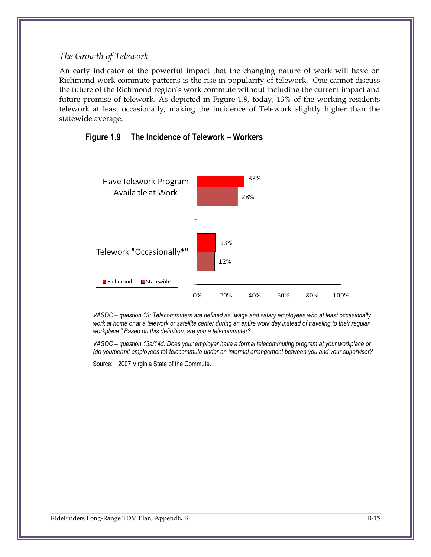#### *The Growth of Telework*

An early indicator of the powerful impact that the changing nature of work will have on Richmond work commute patterns is the rise in popularity of telework. One cannot discuss the future of the Richmond region's work commute without including the current impact and future promise of telework. As depicted in [Figure 1.9,](#page-15-0) today, 13% of the working residents telework at least occasionally, making the incidence of Telework slightly higher than the statewide average.



#### <span id="page-15-0"></span>**Figure 1.9 The Incidence of Telework – Workers**

*VASOC – question 13: Telecommuters are defined as "wage and salary employees who at least occasionally work at home or at a telework or satellite center during an entire work day instead of traveling to their regular workplace." Based on this definition, are you a telecommuter?*

*VASOC – question 13a/14d: Does your employer have a formal telecommuting program at your workplace or (do you/permit employees to) telecommute under an informal arrangement between you and your supervisor?*

Source: 2007 Virginia State of the Commute.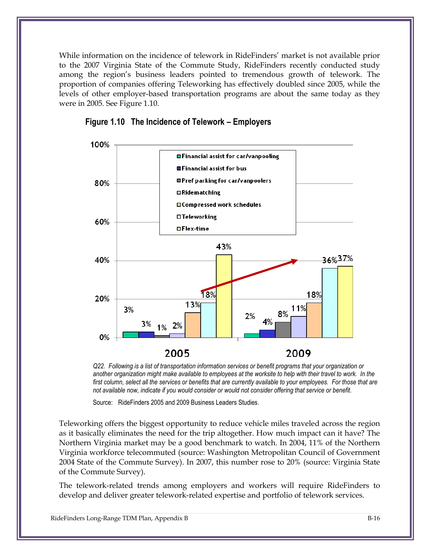While information on the incidence of telework in RideFinders' market is not available prior to the 2007 Virginia State of the Commute Study, RideFinders recently conducted study among the region's business leaders pointed to tremendous growth of telework. The proportion of companies offering Teleworking has effectively doubled since 2005, while the levels of other employer-based transportation programs are about the same today as they were in 2005. Se[e Figure 1.10.](#page-16-0)



#### <span id="page-16-0"></span>**Figure 1.10 The Incidence of Telework – Employers**

*Q22. Following is a list of transportation information services or benefit programs that your organization or another organization might make available to employees at the worksite to help with their travel to work. In the*  first column, select all the services or benefits that are currently available to your employees. For those that are *not available now, indicate if you would consider or would not consider offering that service or benefit.*

Source: RideFinders 2005 and 2009 Business Leaders Studies.

Teleworking offers the biggest opportunity to reduce vehicle miles traveled across the region as it basically eliminates the need for the trip altogether. How much impact can it have? The Northern Virginia market may be a good benchmark to watch. In 2004, 11% of the Northern Virginia workforce telecommuted (source: Washington Metropolitan Council of Government 2004 State of the Commute Survey). In 2007, this number rose to 20% (source: Virginia State of the Commute Survey).

The telework-related trends among employers and workers will require RideFinders to develop and deliver greater telework-related expertise and portfolio of telework services.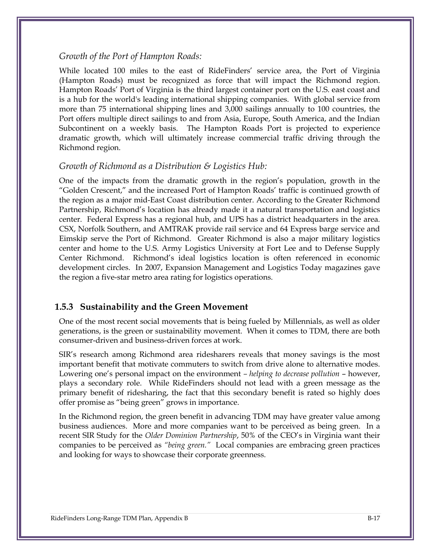#### *Growth of the Port of Hampton Roads:*

While located 100 miles to the east of RideFinders' service area, the Port of Virginia (Hampton Roads) must be recognized as force that will impact the Richmond region. Hampton Roads' Port of Virginia is the third largest container port on the U.S. east coast and is a hub for the world's leading international shipping companies. With global service from more than 75 international shipping lines and 3,000 sailings annually to 100 countries, the Port offers multiple direct sailings to and from Asia, Europe, South America, and the Indian Subcontinent on a weekly basis. The Hampton Roads Port is projected to experience dramatic growth, which will ultimately increase commercial traffic driving through the Richmond region.

#### *Growth of Richmond as a Distribution & Logistics Hub:*

One of the impacts from the dramatic growth in the region's population, growth in the "Golden Crescent," and the increased Port of Hampton Roads' traffic is continued growth of the region as a major mid-East Coast distribution center. According to the Greater Richmond Partnership, Richmond's location has already made it a natural transportation and logistics center. Federal Express has a regional hub, and UPS has a district headquarters in the area. CSX, Norfolk Southern, and AMTRAK provide rail service and 64 Express barge service and Eimskip serve the Port of Richmond. Greater Richmond is also a major military logistics center and home to the U.S. Army Logistics University at Fort Lee and to Defense Supply Center Richmond. Richmond's ideal logistics location is often referenced in economic development circles. In 2007, Expansion Management and Logistics Today magazines gave the region a five-star metro area rating for logistics operations.

#### **1.5.3 Sustainability and the Green Movement**

One of the most recent social movements that is being fueled by Millennials, as well as older generations, is the green or sustainability movement. When it comes to TDM, there are both consumer-driven and business-driven forces at work.

SIR's research among Richmond area ridesharers reveals that money savings is the most important benefit that motivate commuters to switch from drive alone to alternative modes. Lowering one's personal impact on the environment *– helping to decrease pollution* – however, plays a secondary role. While RideFinders should not lead with a green message as the primary benefit of ridesharing, the fact that this secondary benefit is rated so highly does offer promise as "being green" grows in importance.

In the Richmond region, the green benefit in advancing TDM may have greater value among business audiences. More and more companies want to be perceived as being green. In a recent SIR Study for the *Older Dominion Partnership*, 50% of the CEO's in Virginia want their companies to be perceived as *"being green."* Local companies are embracing green practices and looking for ways to showcase their corporate greenness.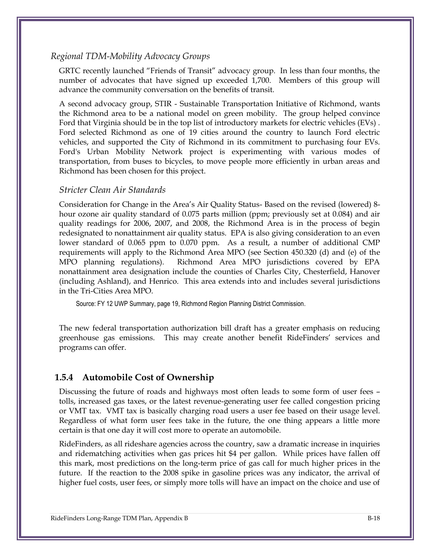#### *Regional TDM-Mobility Advocacy Groups*

GRTC recently launched "Friends of Transit" advocacy group. In less than four months, the number of advocates that have signed up exceeded 1,700. Members of this group will advance the community conversation on the benefits of transit.

A second advocacy group, STIR - Sustainable Transportation Initiative of Richmond, wants the Richmond area to be a national model on green mobility. The group helped convince Ford that Virginia should be in the top list of introductory markets for electric vehicles (EVs) . Ford selected Richmond as one of 19 cities around the country to launch Ford electric vehicles, and supported the City of Richmond in its commitment to purchasing four EVs. Ford's Urban Mobility Network project is experimenting with various modes of transportation, from buses to bicycles, to move people more efficiently in urban areas and Richmond has been chosen for this project.

#### *Stricter Clean Air Standards*

Consideration for Change in the Area's Air Quality Status- Based on the revised (lowered) 8 hour ozone air quality standard of 0.075 parts million (ppm; previously set at 0.084) and air quality readings for 2006, 2007, and 2008, the Richmond Area is in the process of begin redesignated to nonattainment air quality status. EPA is also giving consideration to an even lower standard of 0.065 ppm to 0.070 ppm. As a result, a number of additional CMP requirements will apply to the Richmond Area MPO (see Section 450.320 (d) and (e) of the MPO planning regulations). Richmond Area MPO jurisdictions covered by EPA nonattainment area designation include the counties of Charles City, Chesterfield, Hanover (including Ashland), and Henrico. This area extends into and includes several jurisdictions in the Tri-Cities Area MPO.

Source: FY 12 UWP Summary, page 19, Richmond Region Planning District Commission.

The new federal transportation authorization bill draft has a greater emphasis on reducing greenhouse gas emissions. This may create another benefit RideFinders' services and programs can offer.

#### **1.5.4 Automobile Cost of Ownership**

Discussing the future of roads and highways most often leads to some form of user fees – tolls, increased gas taxes, or the latest revenue-generating user fee called congestion pricing or VMT tax. VMT tax is basically charging road users a user fee based on their usage level. Regardless of what form user fees take in the future, the one thing appears a little more certain is that one day it will cost more to operate an automobile.

RideFinders, as all rideshare agencies across the country, saw a dramatic increase in inquiries and ridematching activities when gas prices hit \$4 per gallon. While prices have fallen off this mark, most predictions on the long-term price of gas call for much higher prices in the future. If the reaction to the 2008 spike in gasoline prices was any indicator, the arrival of higher fuel costs, user fees, or simply more tolls will have an impact on the choice and use of